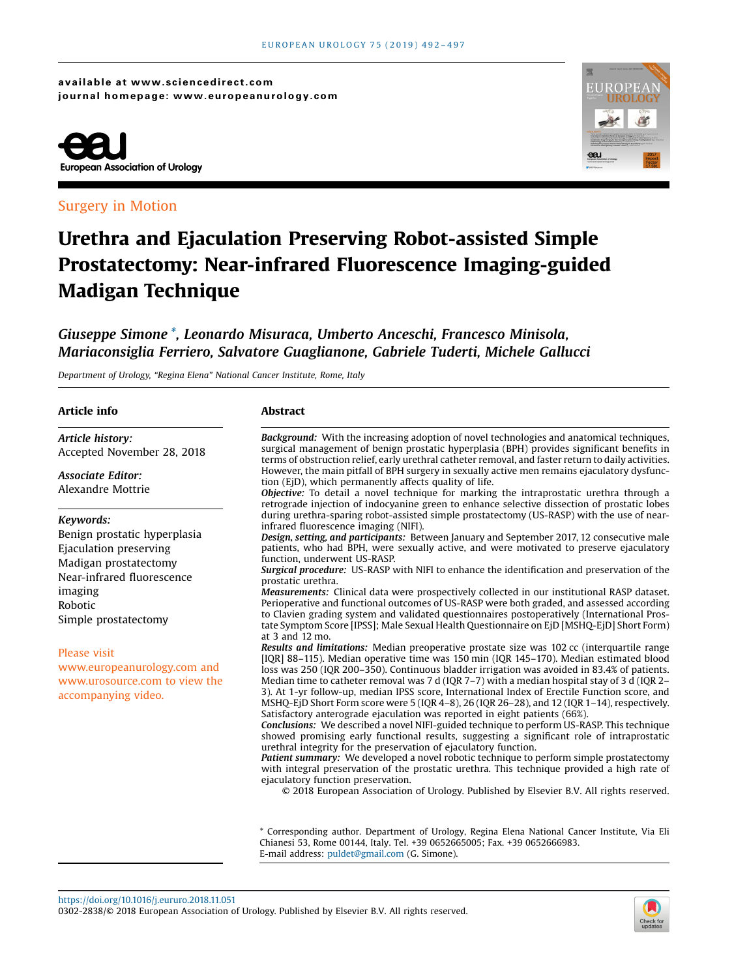available at www.sciencedirect.com journal homepage: www.europeanurology.com



## Surgery in Motion



# Urethra and Ejaculation Preserving Robot-assisted Simple Prostatectomy: Near-infrared Fluorescence Imaging-guided Madigan Technique

# Giuseppe Simone \*, Leonardo Misuraca, Umberto Anceschi, Francesco Minisola, Mariaconsiglia Ferriero, Salvatore Guaglianone, Gabriele Tuderti, Michele Gallucci

Department of Urology, "Regina Elena" National Cancer Institute, Rome, Italy

| Article info                                                                                                                                                             | <b>Abstract</b>                                                                                                                                                                                                                                                                                                                                                                                                                                                                                                                                                                                                                                                                                                                                                                                                                                                                                                                                                                                                                                                                                                                                                                                                                                                             |  |  |  |
|--------------------------------------------------------------------------------------------------------------------------------------------------------------------------|-----------------------------------------------------------------------------------------------------------------------------------------------------------------------------------------------------------------------------------------------------------------------------------------------------------------------------------------------------------------------------------------------------------------------------------------------------------------------------------------------------------------------------------------------------------------------------------------------------------------------------------------------------------------------------------------------------------------------------------------------------------------------------------------------------------------------------------------------------------------------------------------------------------------------------------------------------------------------------------------------------------------------------------------------------------------------------------------------------------------------------------------------------------------------------------------------------------------------------------------------------------------------------|--|--|--|
| Article history:<br>Accepted November 28, 2018                                                                                                                           | <b>Background:</b> With the increasing adoption of novel technologies and anatomical techniques,<br>surgical management of benign prostatic hyperplasia (BPH) provides significant benefits in<br>terms of obstruction relief, early urethral catheter removal, and faster return to daily activities.                                                                                                                                                                                                                                                                                                                                                                                                                                                                                                                                                                                                                                                                                                                                                                                                                                                                                                                                                                      |  |  |  |
| <b>Associate Editor:</b><br>Alexandre Mottrie                                                                                                                            | However, the main pitfall of BPH surgery in sexually active men remains ejaculatory dysfunc-<br>tion (EjD), which permanently affects quality of life.<br><b>Objective:</b> To detail a novel technique for marking the intraprostatic urethra through a<br>retrograde injection of indocyanine green to enhance selective dissection of prostatic lobes                                                                                                                                                                                                                                                                                                                                                                                                                                                                                                                                                                                                                                                                                                                                                                                                                                                                                                                    |  |  |  |
| Keywords:<br>Benign prostatic hyperplasia<br>Ejaculation preserving<br>Madigan prostatectomy<br>Near-infrared fluorescence<br>imaging<br>Robotic<br>Simple prostatectomy | during urethra-sparing robot-assisted simple prostatectomy (US-RASP) with the use of near-<br>infrared fluorescence imaging (NIFI).<br>Design, setting, and participants: Between January and September 2017, 12 consecutive male<br>patients, who had BPH, were sexually active, and were motivated to preserve ejaculatory<br>function, underwent US-RASP.<br>Surgical procedure: US-RASP with NIFI to enhance the identification and preservation of the<br>prostatic urethra.<br><i>Measurements:</i> Clinical data were prospectively collected in our institutional RASP dataset.<br>Perioperative and functional outcomes of US-RASP were both graded, and assessed according<br>to Clavien grading system and validated questionnaires postoperatively (International Pros-<br>tate Symptom Score [IPSS]; Male Sexual Health Questionnaire on EjD [MSHQ-EjD] Short Form)<br>at 3 and 12 mo.                                                                                                                                                                                                                                                                                                                                                                         |  |  |  |
| <b>Please visit</b><br>www.europeanurology.com and<br>www.urosource.com to view the<br>accompanying video.                                                               | Results and limitations: Median preoperative prostate size was 102 cc (interquartile range<br>[IOR] 88–115). Median operative time was 150 min (IOR 145–170). Median estimated blood<br>loss was 250 (IQR 200–350). Continuous bladder irrigation was avoided in 83.4% of patients.<br>Median time to catheter removal was 7 d (IQR 7–7) with a median hospital stay of 3 d (IQR 2–<br>3). At 1-yr follow-up, median IPSS score, International Index of Erectile Function score, and<br>MSHO-EjD Short Form score were 5 (IOR 4–8), 26 (IOR 26–28), and 12 (IOR 1–14), respectively.<br>Satisfactory anterograde ejaculation was reported in eight patients (66%).<br><b>Conclusions:</b> We described a novel NIFI-guided technique to perform US-RASP. This technique<br>showed promising early functional results, suggesting a significant role of intraprostatic<br>urethral integrity for the preservation of ejaculatory function.<br><b>Patient summary:</b> We developed a novel robotic technique to perform simple prostatectomy<br>with integral preservation of the prostatic urethra. This technique provided a high rate of<br>ejaculatory function preservation.<br>© 2018 European Association of Urology. Published by Elsevier B.V. All rights reserved. |  |  |  |

\* Corresponding author. Department of Urology, Regina Elena National Cancer Institute, Via Eli Chianesi 53, Rome 00144, Italy. Tel. +39 0652665005; Fax. +39 0652666983. E-mail address: [puldet@gmail.com](mailto:puldet@gmail.com) (G. Simone).

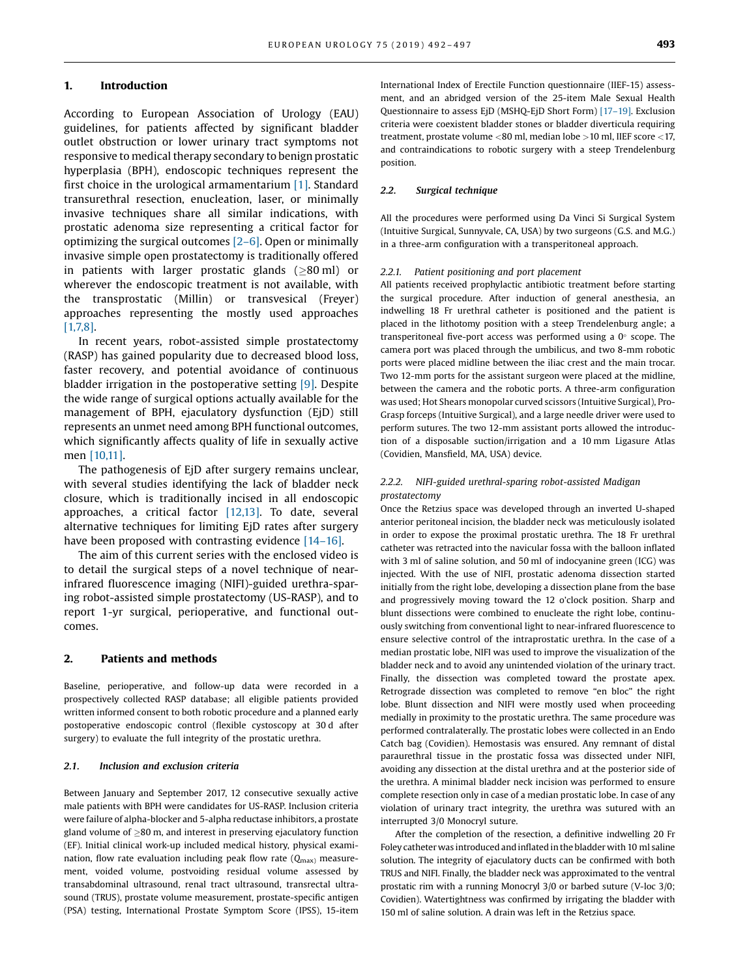#### 1. Introduction

According to European Association of Urology (EAU) guidelines, for patients affected by significant bladder outlet obstruction or lower urinary tract symptoms not responsive to medical therapy secondary to benign prostatic hyperplasia (BPH), endoscopic techniques represent the first choice in the urological armamentarium [\[1\]](#page-4-0). Standard transurethral resection, enucleation, laser, or minimally invasive techniques share all similar indications, with prostatic adenoma size representing a critical factor for optimizing the surgical outcomes [2–[6\].](#page-4-0) Open or minimally invasive simple open prostatectomy is traditionally offered in patients with larger prostatic glands  $(>80 \text{ ml})$  or wherever the endoscopic treatment is not available, with the transprostatic (Millin) or transvesical (Freyer) approaches representing the mostly used approaches [\[1,7,8\]](#page-4-0).

In recent years, robot-assisted simple prostatectomy (RASP) has gained popularity due to decreased blood loss, faster recovery, and potential avoidance of continuous bladder irrigation in the postoperative setting [\[9\]](#page-4-0). Despite the wide range of surgical options actually available for the management of BPH, ejaculatory dysfunction (EjD) still represents an unmet need among BPH functional outcomes, which significantly affects quality of life in sexually active men [\[10,11\].](#page-4-0)

The pathogenesis of EjD after surgery remains unclear, with several studies identifying the lack of bladder neck closure, which is traditionally incised in all endoscopic approaches, a critical factor [\[12,13\].](#page-4-0) To date, several alternative techniques for limiting EjD rates after surgery have been proposed with contrasting evidence [14–[16\]](#page-4-0).

The aim of this current series with the enclosed video is to detail the surgical steps of a novel technique of nearinfrared fluorescence imaging (NIFI)-guided urethra-sparing robot-assisted simple prostatectomy (US-RASP), and to report 1-yr surgical, perioperative, and functional outcomes.

#### 2. Patients and methods

Baseline, perioperative, and follow-up data were recorded in a prospectively collected RASP database; all eligible patients provided written informed consent to both robotic procedure and a planned early postoperative endoscopic control (flexible cystoscopy at 30 d after surgery) to evaluate the full integrity of the prostatic urethra.

#### 2.1. Inclusion and exclusion criteria

Between January and September 2017, 12 consecutive sexually active male patients with BPH were candidates for US-RASP. Inclusion criteria were failure of alpha-blocker and 5-alpha reductase inhibitors, a prostate gland volume of  $\geq$ 80 m, and interest in preserving ejaculatory function (EF). Initial clinical work-up included medical history, physical examination, flow rate evaluation including peak flow rate  $(Q_{\text{max}})$  measurement, voided volume, postvoiding residual volume assessed by transabdominal ultrasound, renal tract ultrasound, transrectal ultrasound (TRUS), prostate volume measurement, prostate-specific antigen (PSA) testing, International Prostate Symptom Score (IPSS), 15-item International Index of Erectile Function questionnaire (IIEF-15) assessment, and an abridged version of the 25-item Male Sexual Health Questionnaire to assess EjD (MSHQ-EjD Short Form) [17–[19\]](#page-4-0). Exclusion criteria were coexistent bladder stones or bladder diverticula requiring treatment, prostate volume <80 ml, median lobe >10 ml, IIEF score <17, and contraindications to robotic surgery with a steep Trendelenburg position.

#### 2.2. Surgical technique

All the procedures were performed using Da Vinci Si Surgical System (Intuitive Surgical, Sunnyvale, CA, USA) by two surgeons (G.S. and M.G.) in a three-arm configuration with a transperitoneal approach.

#### 2.2.1. Patient positioning and port placement

All patients received prophylactic antibiotic treatment before starting the surgical procedure. After induction of general anesthesia, an indwelling 18 Fr urethral catheter is positioned and the patient is placed in the lithotomy position with a steep Trendelenburg angle; a transperitoneal five-port access was performed using a  $0^\circ$  scope. The camera port was placed through the umbilicus, and two 8-mm robotic ports were placed midline between the iliac crest and the main trocar. Two 12-mm ports for the assistant surgeon were placed at the midline, between the camera and the robotic ports. A three-arm configuration was used; Hot Shears monopolar curved scissors (Intuitive Surgical), Pro-Grasp forceps (Intuitive Surgical), and a large needle driver were used to perform sutures. The two 12-mm assistant ports allowed the introduction of a disposable suction/irrigation and a 10 mm Ligasure Atlas (Covidien, Mansfield, MA, USA) device.

#### 2.2.2. NIFI-guided urethral-sparing robot-assisted Madigan prostatectomy

Once the Retzius space was developed through an inverted U-shaped anterior peritoneal incision, the bladder neck was meticulously isolated in order to expose the proximal prostatic urethra. The 18 Fr urethral catheter was retracted into the navicular fossa with the balloon inflated with 3 ml of saline solution, and 50 ml of indocyanine green (ICG) was injected. With the use of NIFI, prostatic adenoma dissection started initially from the right lobe, developing a dissection plane from the base and progressively moving toward the 12 o'clock position. Sharp and blunt dissections were combined to enucleate the right lobe, continuously switching from conventional light to near-infrared fluorescence to ensure selective control of the intraprostatic urethra. In the case of a median prostatic lobe, NIFI was used to improve the visualization of the bladder neck and to avoid any unintended violation of the urinary tract. Finally, the dissection was completed toward the prostate apex. Retrograde dissection was completed to remove "en bloc" the right lobe. Blunt dissection and NIFI were mostly used when proceeding medially in proximity to the prostatic urethra. The same procedure was performed contralaterally. The prostatic lobes were collected in an Endo Catch bag (Covidien). Hemostasis was ensured. Any remnant of distal paraurethral tissue in the prostatic fossa was dissected under NIFI, avoiding any dissection at the distal urethra and at the posterior side of the urethra. A minimal bladder neck incision was performed to ensure complete resection only in case of a median prostatic lobe. In case of any violation of urinary tract integrity, the urethra was sutured with an interrupted 3/0 Monocryl suture.

After the completion of the resection, a definitive indwelling 20 Fr Foley catheter was introduced and inflated in the bladder with 10 ml saline solution. The integrity of ejaculatory ducts can be confirmed with both TRUS and NIFI. Finally, the bladder neck was approximated to the ventral prostatic rim with a running Monocryl 3/0 or barbed suture (V-loc 3/0; Covidien). Watertightness was confirmed by irrigating the bladder with 150 ml of saline solution. A drain was left in the Retzius space.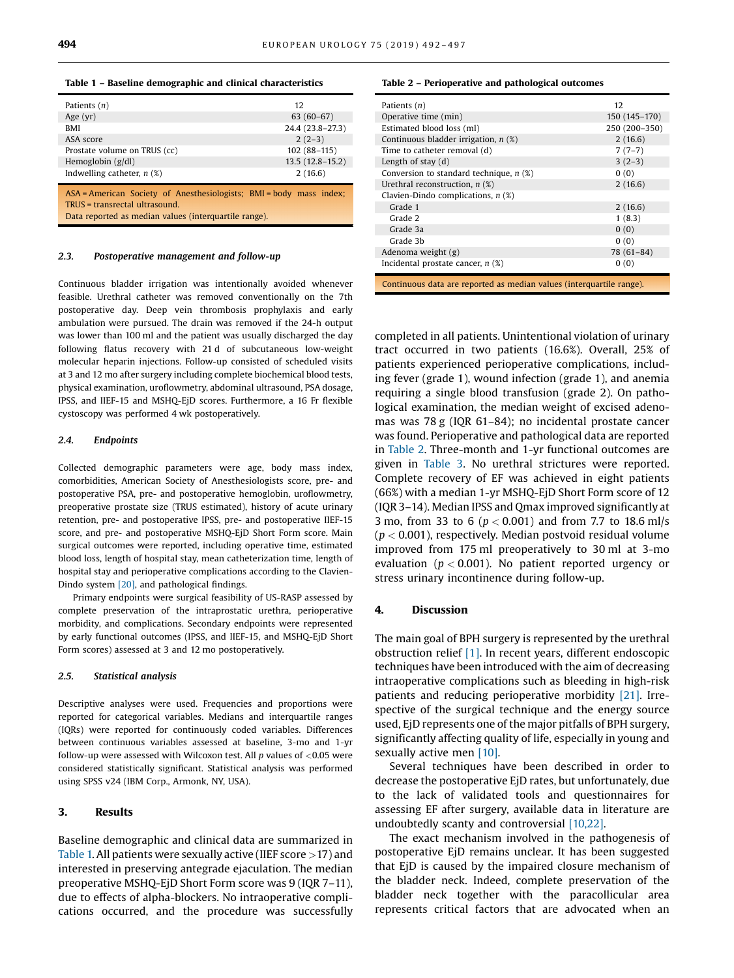#### Table 1 – Baseline demographic and clinical characteristics

| Patients $(n)$                                                                                        | 12                |
|-------------------------------------------------------------------------------------------------------|-------------------|
| Age $(yr)$                                                                                            | $63(60-67)$       |
| <b>BMI</b>                                                                                            | 24.4 (23.8-27.3)  |
| ASA score                                                                                             | $2(2-3)$          |
| Prostate volume on TRUS (cc)                                                                          | $102(88-115)$     |
| Hemoglobin $(g/dl)$                                                                                   | $13.5(12.8-15.2)$ |
| Indwelling catheter, $n$ (%)                                                                          | 2(16.6)           |
| ASA = American Society of Anesthesiologists; BMI = body mass index;<br>TRUS = transrectal ultrasound. |                   |

Data reported as median values (interquartile range).

#### 2.3. Postoperative management and follow-up

Continuous bladder irrigation was intentionally avoided whenever feasible. Urethral catheter was removed conventionally on the 7th postoperative day. Deep vein thrombosis prophylaxis and early ambulation were pursued. The drain was removed if the 24-h output was lower than 100 ml and the patient was usually discharged the day following flatus recovery with 21 d of subcutaneous low-weight molecular heparin injections. Follow-up consisted of scheduled visits at 3 and 12 mo after surgery including complete biochemical blood tests, physical examination, uroflowmetry, abdominal ultrasound, PSA dosage, IPSS, and IIEF-15 and MSHQ-EjD scores. Furthermore, a 16 Fr flexible cystoscopy was performed 4 wk postoperatively.

#### 2.4. Endpoints

Collected demographic parameters were age, body mass index, comorbidities, American Society of Anesthesiologists score, pre- and postoperative PSA, pre- and postoperative hemoglobin, uroflowmetry, preoperative prostate size (TRUS estimated), history of acute urinary retention, pre- and postoperative IPSS, pre- and postoperative IIEF-15 score, and pre- and postoperative MSHQ-EjD Short Form score. Main surgical outcomes were reported, including operative time, estimated blood loss, length of hospital stay, mean catheterization time, length of hospital stay and perioperative complications according to the Clavien-Dindo system [\[20\]](#page-5-0), and pathological findings.

Primary endpoints were surgical feasibility of US-RASP assessed by complete preservation of the intraprostatic urethra, perioperative morbidity, and complications. Secondary endpoints were represented by early functional outcomes (IPSS, and IIEF-15, and MSHQ-EjD Short Form scores) assessed at 3 and 12 mo postoperatively.

#### 2.5. Statistical analysis

Descriptive analyses were used. Frequencies and proportions were reported for categorical variables. Medians and interquartile ranges (IQRs) were reported for continuously coded variables. Differences between continuous variables assessed at baseline, 3-mo and 1-yr follow-up were assessed with Wilcoxon test. All  $p$  values of <0.05 were considered statistically significant. Statistical analysis was performed using SPSS v24 (IBM Corp., Armonk, NY, USA).

#### 3. Results

Baseline demographic and clinical data are summarized in Table 1. All patients were sexually active (IIEF score  $>$  17) and interested in preserving antegrade ejaculation. The median preoperative MSHQ-EjD Short Form score was 9 (IQR 7–11), due to effects of alpha-blockers. No intraoperative complications occurred, and the procedure was successfully

#### Table 2 – Perioperative and pathological outcomes

| Patients $(n)$                                                       | 12            |  |  |  |
|----------------------------------------------------------------------|---------------|--|--|--|
| Operative time (min)                                                 | 150 (145-170) |  |  |  |
| Estimated blood loss (ml)                                            | 250 (200-350) |  |  |  |
| Continuous bladder irrigation, $n$ (%)                               | 2(16.6)       |  |  |  |
| Time to catheter removal (d)                                         | $7(7-7)$      |  |  |  |
| Length of stay $(d)$                                                 | $3(2-3)$      |  |  |  |
| Conversion to standard technique, $n$ (%)                            | 0(0)          |  |  |  |
| Urethral reconstruction, $n$ (%)                                     | 2(16.6)       |  |  |  |
| Clavien-Dindo complications, $n$ (%)                                 |               |  |  |  |
| Grade 1                                                              | 2(16.6)       |  |  |  |
| Grade 2                                                              | 1(8.3)        |  |  |  |
| Grade 3a                                                             | 0(0)          |  |  |  |
| Grade 3b                                                             | 0(0)          |  |  |  |
| Adenoma weight (g)                                                   | $78(61-84)$   |  |  |  |
| Incidental prostate cancer, $n$ (%)                                  | 0(0)          |  |  |  |
| Continuous data are reported as median values (interquartile range). |               |  |  |  |

completed in all patients. Unintentional violation of urinary tract occurred in two patients (16.6%). Overall, 25% of patients experienced perioperative complications, including fever (grade 1), wound infection (grade 1), and anemia requiring a single blood transfusion (grade 2). On pathological examination, the median weight of excised adenomas was 78 g (IQR 61–84); no incidental prostate cancer was found. Perioperative and pathological data are reported in Table 2. Three-month and 1-yr functional outcomes are given in [Table 3.](#page-3-0) No urethral strictures were reported. Complete recovery of EF was achieved in eight patients (66%) with a median 1-yr MSHQ-EjD Short Form score of 12 (IQR 3–14). Median IPSS and Qmax improved significantly at 3 mo, from 33 to 6 ( $p < 0.001$ ) and from 7.7 to 18.6 ml/s  $(p < 0.001)$ , respectively. Median postvoid residual volume improved from 175 ml preoperatively to 30 ml at 3-mo evaluation ( $p < 0.001$ ). No patient reported urgency or stress urinary incontinence during follow-up.

#### 4. Discussion

The main goal of BPH surgery is represented by the urethral obstruction relief [\[1\]](#page-4-0). In recent years, different endoscopic techniques have been introduced with the aim of decreasing intraoperative complications such as bleeding in high-risk patients and reducing perioperative morbidity [\[21\]](#page-5-0). Irrespective of the surgical technique and the energy source used, EjD represents one of the major pitfalls of BPH surgery, significantly affecting quality of life, especially in young and sexually active men [\[10\]](#page-4-0).

Several techniques have been described in order to decrease the postoperative EjD rates, but unfortunately, due to the lack of validated tools and questionnaires for assessing EF after surgery, available data in literature are undoubtedly scanty and controversial [\[10,22\].](#page-4-0)

The exact mechanism involved in the pathogenesis of postoperative EjD remains unclear. It has been suggested that EjD is caused by the impaired closure mechanism of the bladder neck. Indeed, complete preservation of the bladder neck together with the paracollicular area represents critical factors that are advocated when an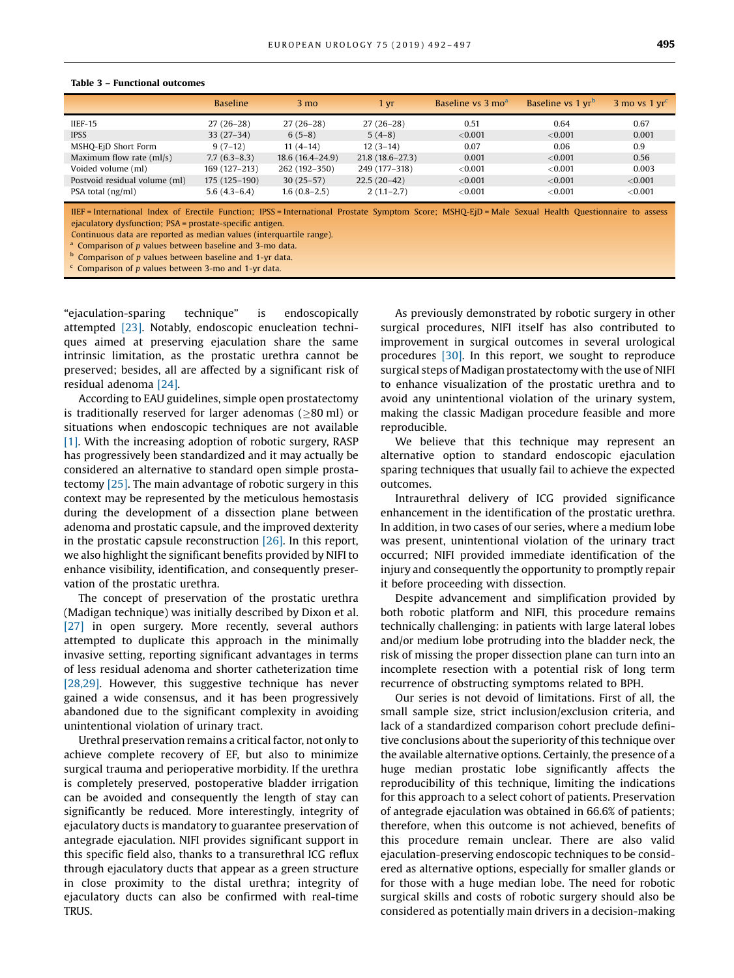|                               | <b>Baseline</b> | $3 \text{ mo}$      | 1 vr              | Baseline vs 3 mo <sup>a</sup> | Baseline vs 1 yr <sup>b</sup> | $3 \text{ mo}$ vs 1 $\text{vr}^{\text{c}}$ |
|-------------------------------|-----------------|---------------------|-------------------|-------------------------------|-------------------------------|--------------------------------------------|
| $IEF-15$                      | $27(26-28)$     | $27(26-28)$         | $27(26-28)$       | 0.51                          | 0.64                          | 0.67                                       |
| <b>IPSS</b>                   | $33(27-34)$     | $6(5-8)$            | $5(4-8)$          | ${<}0.001$                    | $<$ 0.001                     | 0.001                                      |
| MSHQ-EjD Short Form           | $9(7-12)$       | $11(4-14)$          | $12(3-14)$        | 0.07                          | 0.06                          | 0.9                                        |
| Maximum flow rate $(ml/s)$    | $7.7(6.3-8.3)$  | $18.6(16.4 - 24.9)$ | $21.8(18.6-27.3)$ | 0.001                         | $<$ 0.001                     | 0.56                                       |
| Voided volume (ml)            | 169 (127-213)   | 262 (192-350)       | 249 (177-318)     | ${<}0.001$                    | ${<}0.001$                    | 0.003                                      |
| Postvoid residual volume (ml) | $175(125-190)$  | $30(25-57)$         | $22.5(20-42)$     | ${<}0.001$                    | $<$ 0.001                     | $<$ 0.001                                  |
| PSA total (ng/ml)             | $5.6(4.3-6.4)$  | $1.6(0.8-2.5)$      | $2(1.1-2.7)$      | ${<}0.001$                    | ${<}0.001$                    | ${<}0.001$                                 |
|                               |                 |                     |                   |                               |                               |                                            |

#### <span id="page-3-0"></span>Table 3 – Functional outcomes

IIEF = International Index of Erectile Function; IPSS = International Prostate Symptom Score; MSHQ-EjD = Male Sexual Health Questionnaire to assess ejaculatory dysfunction; PSA = prostate-specific antigen.

Continuous data are reported as median values (interquartile range).

 $^{\text{a}}$  Comparison of p values between baseline and 3-mo data.

 $<sup>b</sup>$  Comparison of p values between baseline and 1-yr data.</sup>

Comparison of p values between 3-mo and 1-yr data.

"ejaculation-sparing technique" is endoscopically attempted [\[23\]](#page-5-0). Notably, endoscopic enucleation techniques aimed at preserving ejaculation share the same intrinsic limitation, as the prostatic urethra cannot be preserved; besides, all are affected by a significant risk of residual adenoma [\[24\]](#page-5-0).

According to EAU guidelines, simple open prostatectomy is traditionally reserved for larger adenomas ( $\geq 80$  ml) or situations when endoscopic techniques are not available [\[1\]](#page-4-0). With the increasing adoption of robotic surgery, RASP has progressively been standardized and it may actually be considered an alternative to standard open simple prostatectomy [\[25\].](#page-5-0) The main advantage of robotic surgery in this context may be represented by the meticulous hemostasis during the development of a dissection plane between adenoma and prostatic capsule, and the improved dexterity in the prostatic capsule reconstruction [\[26\].](#page-5-0) In this report, we also highlight the significant benefits provided by NIFI to enhance visibility, identification, and consequently preservation of the prostatic urethra.

The concept of preservation of the prostatic urethra (Madigan technique) was initially described by Dixon et al. [\[27\]](#page-5-0) in open surgery. More recently, several authors attempted to duplicate this approach in the minimally invasive setting, reporting significant advantages in terms of less residual adenoma and shorter catheterization time [\[28,29\].](#page-5-0) However, this suggestive technique has never gained a wide consensus, and it has been progressively abandoned due to the significant complexity in avoiding unintentional violation of urinary tract.

Urethral preservation remains a critical factor, not only to achieve complete recovery of EF, but also to minimize surgical trauma and perioperative morbidity. If the urethra is completely preserved, postoperative bladder irrigation can be avoided and consequently the length of stay can significantly be reduced. More interestingly, integrity of ejaculatory ducts is mandatory to guarantee preservation of antegrade ejaculation. NIFI provides significant support in this specific field also, thanks to a transurethral ICG reflux through ejaculatory ducts that appear as a green structure in close proximity to the distal urethra; integrity of ejaculatory ducts can also be confirmed with real-time TRUS.

As previously demonstrated by robotic surgery in other surgical procedures, NIFI itself has also contributed to improvement in surgical outcomes in several urological procedures [\[30\]](#page-5-0). In this report, we sought to reproduce surgical steps of Madigan prostatectomy with the use of NIFI to enhance visualization of the prostatic urethra and to avoid any unintentional violation of the urinary system, making the classic Madigan procedure feasible and more reproducible.

We believe that this technique may represent an alternative option to standard endoscopic ejaculation sparing techniques that usually fail to achieve the expected outcomes.

Intraurethral delivery of ICG provided significance enhancement in the identification of the prostatic urethra. In addition, in two cases of our series, where a medium lobe was present, unintentional violation of the urinary tract occurred; NIFI provided immediate identification of the injury and consequently the opportunity to promptly repair it before proceeding with dissection.

Despite advancement and simplification provided by both robotic platform and NIFI, this procedure remains technically challenging: in patients with large lateral lobes and/or medium lobe protruding into the bladder neck, the risk of missing the proper dissection plane can turn into an incomplete resection with a potential risk of long term recurrence of obstructing symptoms related to BPH.

Our series is not devoid of limitations. First of all, the small sample size, strict inclusion/exclusion criteria, and lack of a standardized comparison cohort preclude definitive conclusions about the superiority of this technique over the available alternative options. Certainly, the presence of a huge median prostatic lobe significantly affects the reproducibility of this technique, limiting the indications for this approach to a select cohort of patients. Preservation of antegrade ejaculation was obtained in 66.6% of patients; therefore, when this outcome is not achieved, benefits of this procedure remain unclear. There are also valid ejaculation-preserving endoscopic techniques to be considered as alternative options, especially for smaller glands or for those with a huge median lobe. The need for robotic surgical skills and costs of robotic surgery should also be considered as potentially main drivers in a decision-making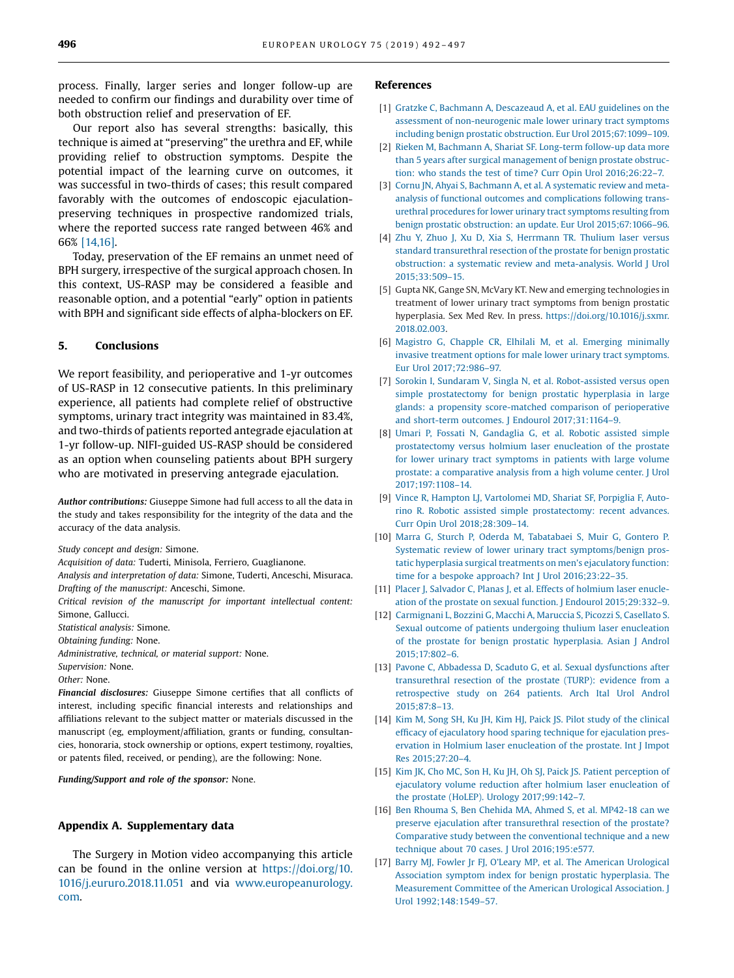<span id="page-4-0"></span>process. Finally, larger series and longer follow-up are needed to confirm our findings and durability over time of both obstruction relief and preservation of EF.

Our report also has several strengths: basically, this technique is aimed at "preserving" the urethra and EF, while providing relief to obstruction symptoms. Despite the potential impact of the learning curve on outcomes, it was successful in two-thirds of cases; this result compared favorably with the outcomes of endoscopic ejaculationpreserving techniques in prospective randomized trials, where the reported success rate ranged between 46% and 66% [14,16].

Today, preservation of the EF remains an unmet need of BPH surgery, irrespective of the surgical approach chosen. In this context, US-RASP may be considered a feasible and reasonable option, and a potential "early" option in patients with BPH and significant side effects of alpha-blockers on EF.

### 5. Conclusions

We report feasibility, and perioperative and 1-yr outcomes of US-RASP in 12 consecutive patients. In this preliminary experience, all patients had complete relief of obstructive symptoms, urinary tract integrity was maintained in 83.4%, and two-thirds of patients reported antegrade ejaculation at 1-yr follow-up. NIFI-guided US-RASP should be considered as an option when counseling patients about BPH surgery who are motivated in preserving antegrade ejaculation.

Author contributions: Giuseppe Simone had full access to all the data in the study and takes responsibility for the integrity of the data and the accuracy of the data analysis.

Study concept and design: Simone.

Acquisition of data: Tuderti, Minisola, Ferriero, Guaglianone.

Analysis and interpretation of data: Simone, Tuderti, Anceschi, Misuraca. Drafting of the manuscript: Anceschi, Simone.

Critical revision of the manuscript for important intellectual content: Simone, Gallucci.

Statistical analysis: Simone.

Obtaining funding: None.

Administrative, technical, or material support: None.

Supervision: None.

Other: None.

Financial disclosures: Giuseppe Simone certifies that all conflicts of interest, including specific financial interests and relationships and affiliations relevant to the subject matter or materials discussed in the manuscript (eg, employment/affiliation, grants or funding, consultancies, honoraria, stock ownership or options, expert testimony, royalties, or patents filed, received, or pending), are the following: None.

Funding/Support and role of the sponsor: None.

### Appendix A. Supplementary data

The Surgery in Motion video accompanying this article can be found in the online version at [https://doi.org/10.](http://dx.doi.org/10.1016/j.eururo.2018.11.051) [1016/j.eururo.2018.11.051](http://dx.doi.org/10.1016/j.eururo.2018.11.051) and via [www.europeanurology.](http://www.europeanurology.com/) [com.](http://www.europeanurology.com/)

#### References

- [1] [Gratzke C, Bachmann A, Descazeaud A, et al. EAU guidelines on the](http://refhub.elsevier.com/S0302-2838(18)30955-2/sbref0155) [assessment of non-neurogenic male lower urinary tract symptoms](http://refhub.elsevier.com/S0302-2838(18)30955-2/sbref0155) [including benign prostatic obstruction. Eur Urol 2015;67:1099](http://refhub.elsevier.com/S0302-2838(18)30955-2/sbref0155)–109.
- [2] [Rieken M, Bachmann A, Shariat SF. Long-term follow-up data more](http://refhub.elsevier.com/S0302-2838(18)30955-2/sbref0160) [than 5 years after surgical management of benign prostate obstruc](http://refhub.elsevier.com/S0302-2838(18)30955-2/sbref0160)[tion: who stands the test of time? Curr Opin Urol 2016;26:22](http://refhub.elsevier.com/S0302-2838(18)30955-2/sbref0160)–7.
- [3] [Cornu JN, Ahyai S, Bachmann A, et al. A systematic review and meta](http://refhub.elsevier.com/S0302-2838(18)30955-2/sbref0165)[analysis of functional outcomes and complications following trans](http://refhub.elsevier.com/S0302-2838(18)30955-2/sbref0165)[urethral procedures for lower urinary tract symptoms resulting from](http://refhub.elsevier.com/S0302-2838(18)30955-2/sbref0165) [benign prostatic obstruction: an update. Eur Urol 2015;67:1066](http://refhub.elsevier.com/S0302-2838(18)30955-2/sbref0165)–96.
- [4] [Zhu Y, Zhuo J, Xu D, Xia S, Herrmann TR. Thulium laser versus](http://refhub.elsevier.com/S0302-2838(18)30955-2/sbref0170) [standard transurethral resection of the prostate for benign prostatic](http://refhub.elsevier.com/S0302-2838(18)30955-2/sbref0170) [obstruction: a systematic review and meta-analysis. World J Urol](http://refhub.elsevier.com/S0302-2838(18)30955-2/sbref0170) [2015;33:509](http://refhub.elsevier.com/S0302-2838(18)30955-2/sbref0170)–15.
- [5] Gupta NK, Gange SN, McVary KT. New and emerging technologies in treatment of lower urinary tract symptoms from benign prostatic hyperplasia. Sex Med Rev. In press. [https://doi.org/10.1016/j.sxmr.](https://doi.org/10.1016/j.sxmr.2018.02.003) [2018.02.003.](https://doi.org/10.1016/j.sxmr.2018.02.003)
- [6] [Magistro G, Chapple CR, Elhilali M, et al. Emerging minimally](http://refhub.elsevier.com/S0302-2838(18)30955-2/sbref0180) [invasive treatment options for male lower urinary tract symptoms.](http://refhub.elsevier.com/S0302-2838(18)30955-2/sbref0180) [Eur Urol 2017;72:986](http://refhub.elsevier.com/S0302-2838(18)30955-2/sbref0180)–97.
- [7] [Sorokin I, Sundaram V, Singla N, et al. Robot-assisted versus open](http://refhub.elsevier.com/S0302-2838(18)30955-2/sbref0185) [simple prostatectomy for benign prostatic hyperplasia in large](http://refhub.elsevier.com/S0302-2838(18)30955-2/sbref0185) [glands: a propensity score-matched comparison of perioperative](http://refhub.elsevier.com/S0302-2838(18)30955-2/sbref0185) [and short-term outcomes. J Endourol 2017;31:1164](http://refhub.elsevier.com/S0302-2838(18)30955-2/sbref0185)–9.
- [8] [Umari P, Fossati N, Gandaglia G, et al. Robotic assisted simple](http://refhub.elsevier.com/S0302-2838(18)30955-2/sbref0190) [prostatectomy versus holmium laser enucleation of the prostate](http://refhub.elsevier.com/S0302-2838(18)30955-2/sbref0190) [for lower urinary tract symptoms in patients with large volume](http://refhub.elsevier.com/S0302-2838(18)30955-2/sbref0190) [prostate: a comparative analysis from a high volume center. J Urol](http://refhub.elsevier.com/S0302-2838(18)30955-2/sbref0190) [2017;197:1108](http://refhub.elsevier.com/S0302-2838(18)30955-2/sbref0190)–14.
- [9] [Vince R, Hampton LJ, Vartolomei MD, Shariat SF, Porpiglia F, Auto](http://refhub.elsevier.com/S0302-2838(18)30955-2/sbref0195)[rino R. Robotic assisted simple prostatectomy: recent advances.](http://refhub.elsevier.com/S0302-2838(18)30955-2/sbref0195) [Curr Opin Urol 2018;28:309](http://refhub.elsevier.com/S0302-2838(18)30955-2/sbref0195)–14.
- [10] [Marra G, Sturch P, Oderda M, Tabatabaei S, Muir G, Gontero P.](http://refhub.elsevier.com/S0302-2838(18)30955-2/sbref0200) [Systematic review of lower urinary tract symptoms/benign pros](http://refhub.elsevier.com/S0302-2838(18)30955-2/sbref0200)[tatic hyperplasia surgical treatments on men's ejaculatory function:](http://refhub.elsevier.com/S0302-2838(18)30955-2/sbref0200) [time for a bespoke approach? Int J Urol 2016;23:22](http://refhub.elsevier.com/S0302-2838(18)30955-2/sbref0200)–35.
- [11] [Placer J, Salvador C, Planas J, et al. Effects of holmium laser enucle](http://refhub.elsevier.com/S0302-2838(18)30955-2/sbref0205)[ation of the prostate on sexual function. J Endourol 2015;29:332](http://refhub.elsevier.com/S0302-2838(18)30955-2/sbref0205)–9.
- [12] [Carmignani L, Bozzini G, Macchi A, Maruccia S, Picozzi S, Casellato S.](http://refhub.elsevier.com/S0302-2838(18)30955-2/sbref0210) [Sexual outcome of patients undergoing thulium laser enucleation](http://refhub.elsevier.com/S0302-2838(18)30955-2/sbref0210) [of the prostate for benign prostatic hyperplasia. Asian J Androl](http://refhub.elsevier.com/S0302-2838(18)30955-2/sbref0210) [2015;17:802](http://refhub.elsevier.com/S0302-2838(18)30955-2/sbref0210)–6.
- [13] [Pavone C, Abbadessa D, Scaduto G, et al. Sexual dysfunctions after](http://refhub.elsevier.com/S0302-2838(18)30955-2/sbref0215) [transurethral resection of the prostate \(TURP\): evidence from a](http://refhub.elsevier.com/S0302-2838(18)30955-2/sbref0215) [retrospective study on 264 patients. Arch Ital Urol Androl](http://refhub.elsevier.com/S0302-2838(18)30955-2/sbref0215) [2015;87:8](http://refhub.elsevier.com/S0302-2838(18)30955-2/sbref0215)–13.
- [14] [Kim M, Song SH, Ku JH, Kim HJ, Paick JS. Pilot study of the clinical](http://refhub.elsevier.com/S0302-2838(18)30955-2/sbref0220) effi[cacy of ejaculatory hood sparing technique for ejaculation pres](http://refhub.elsevier.com/S0302-2838(18)30955-2/sbref0220)[ervation in Holmium laser enucleation of the prostate. Int J Impot](http://refhub.elsevier.com/S0302-2838(18)30955-2/sbref0220) [Res 2015;27:20](http://refhub.elsevier.com/S0302-2838(18)30955-2/sbref0220)–4.
- [15] [Kim JK, Cho MC, Son H, Ku JH, Oh SJ, Paick JS. Patient perception of](http://refhub.elsevier.com/S0302-2838(18)30955-2/sbref0225) [ejaculatory volume reduction after holmium laser enucleation of](http://refhub.elsevier.com/S0302-2838(18)30955-2/sbref0225) [the prostate \(HoLEP\). Urology 2017;99:142](http://refhub.elsevier.com/S0302-2838(18)30955-2/sbref0225)–7.
- [16] [Ben Rhouma S, Ben Chehida MA, Ahmed S, et al. MP42-18 can we](http://refhub.elsevier.com/S0302-2838(18)30955-2/sbref0230) [preserve ejaculation after transurethral resection of the prostate?](http://refhub.elsevier.com/S0302-2838(18)30955-2/sbref0230) [Comparative study between the conventional technique and a new](http://refhub.elsevier.com/S0302-2838(18)30955-2/sbref0230) [technique about 70 cases. J Urol 2016;195:e577.](http://refhub.elsevier.com/S0302-2838(18)30955-2/sbref0230)
- [17] Barry MJ, [Fowler Jr FJ, O'Leary MP, et al. The American Urological](http://refhub.elsevier.com/S0302-2838(18)30955-2/sbref0235) [Association symptom index for benign prostatic hyperplasia. The](http://refhub.elsevier.com/S0302-2838(18)30955-2/sbref0235) [Measurement Committee of the American Urological Association. J](http://refhub.elsevier.com/S0302-2838(18)30955-2/sbref0235) [Urol 1992;148:1549–57](http://refhub.elsevier.com/S0302-2838(18)30955-2/sbref0235).